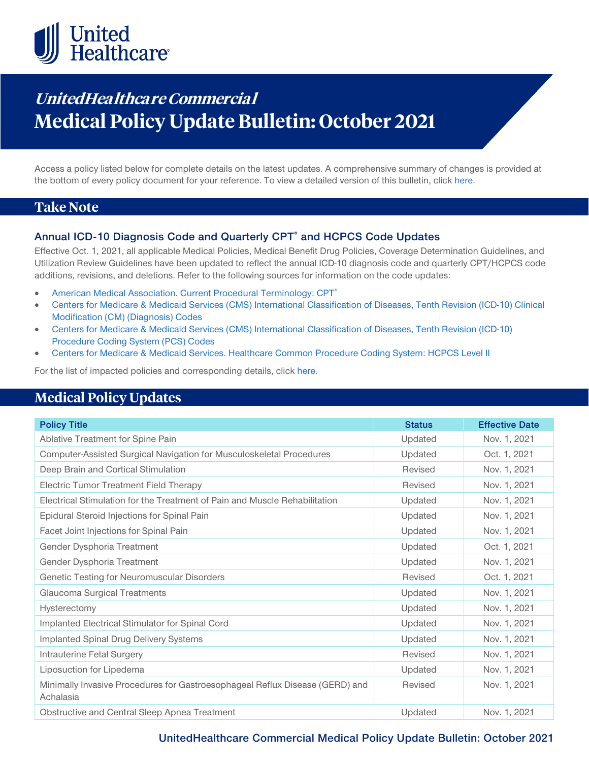

# **UnitedHealthcare Commercial Medical Policy Update Bulletin: October 2021**

Access a policy listed below for complete details on the latest updates. A comprehensive summary of changes is provided at the bottom of every policy document for your reference. To view a detailed version of this bulletin, clic[k here.](https://www.uhcprovider.com/content/dam/provider/docs/public/policies/mpub-archives/commercial/medical-policy-update-bulletin-october-2021-full.pdf)

### **Take Note**

#### **Annual ICD-10 Diagnosis Code and Quarterly CPT® and HCPCS Code Updates**

Effective Oct. 1, 2021, all applicable Medical Policies, Medical Benefit Drug Policies, Coverage Determination Guidelines, and Utilization Review Guidelines have been updated to reflect the annual ICD-10 diagnosis code and quarterly CPT/HCPCS code additions, revisions, and deletions. Refer to the following sources for information on the code updates:

- American Medical Association. Current Procedural Terminology: CPT<sup>®</sup>
- [Centers for Medicare & Medicaid Services \(CMS\) International Classification of Diseases, Tenth Revision \(ICD-10\) Clinical](https://www.cms.gov/medicare/icd-10/2021-icd-10-cm)  [Modification \(CM\) \(Diagnosis\) Codes](https://www.cms.gov/medicare/icd-10/2021-icd-10-cm)
- [Centers for Medicare & Medicaid Services \(CMS\) International Classification of Diseases, Tenth Revision \(ICD-10\)](https://www.cms.gov/medicare/icd-10/2021-icd-10-pcs)  [Procedure Coding System \(PCS\) Codes](https://www.cms.gov/medicare/icd-10/2021-icd-10-pcs)
- [Centers for Medicare & Medicaid Services. Healthcare Common Procedure Coding System: HCPCS Level II](https://www.cms.gov/Medicare/Coding/MedHCPCSGenInfo/index.html)

For the list of impacted policies and corresponding details, click [here.](https://www.uhcprovider.com/content/dam/provider/docs/public/policies/mpub-archives/commercial/medical-policy-update-bulletin-october-2021-full.pdf)

### **Medical Policy Updates**

| <b>Policy Title</b>                                                                       | <b>Status</b> | <b>Effective Date</b> |
|-------------------------------------------------------------------------------------------|---------------|-----------------------|
| Ablative Treatment for Spine Pain                                                         | Updated       | Nov. 1, 2021          |
| Computer-Assisted Surgical Navigation for Musculoskeletal Procedures                      | Updated       | Oct. 1, 2021          |
| Deep Brain and Cortical Stimulation                                                       | Revised       | Nov. 1, 2021          |
| Electric Tumor Treatment Field Therapy                                                    | Revised       | Nov. 1, 2021          |
| Electrical Stimulation for the Treatment of Pain and Muscle Rehabilitation                | Updated       | Nov. 1, 2021          |
| Epidural Steroid Injections for Spinal Pain                                               | Updated       | Nov. 1, 2021          |
| Facet Joint Injections for Spinal Pain                                                    | Updated       | Nov. 1, 2021          |
| Gender Dysphoria Treatment                                                                | Updated       | Oct. 1, 2021          |
| Gender Dysphoria Treatment                                                                | Updated       | Nov. 1, 2021          |
| Genetic Testing for Neuromuscular Disorders                                               | Revised       | Oct. 1, 2021          |
| Glaucoma Surgical Treatments                                                              | Updated       | Nov. 1, 2021          |
| Hysterectomy                                                                              | Updated       | Nov. 1, 2021          |
| Implanted Electrical Stimulator for Spinal Cord                                           | Updated       | Nov. 1, 2021          |
| <b>Implanted Spinal Drug Delivery Systems</b>                                             | Updated       | Nov. 1, 2021          |
| Intrauterine Fetal Surgery                                                                | Revised       | Nov. 1, 2021          |
| Liposuction for Lipedema                                                                  | Updated       | Nov. 1, 2021          |
| Minimally Invasive Procedures for Gastroesophageal Reflux Disease (GERD) and<br>Achalasia | Revised       | Nov. 1, 2021          |
| Obstructive and Central Sleep Apnea Treatment                                             | Updated       | Nov. 1, 2021          |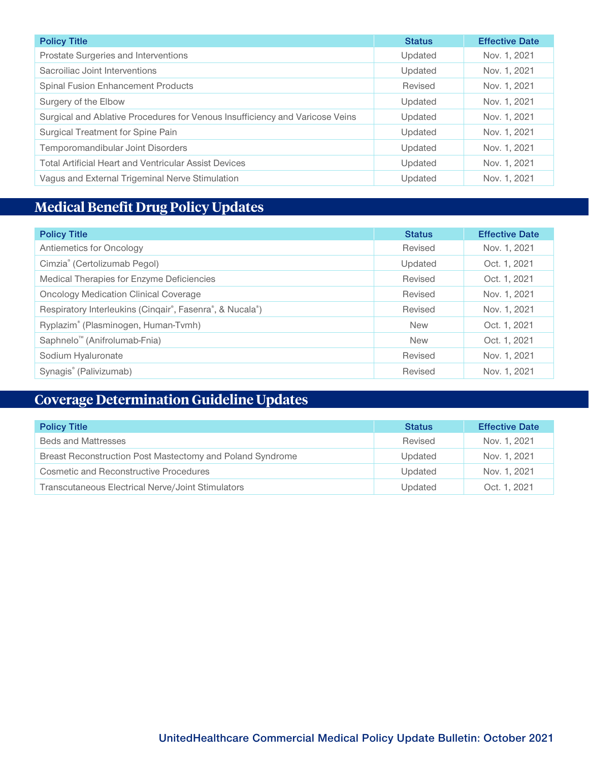| <b>Policy Title</b>                                                          | <b>Status</b> | <b>Effective Date</b> |
|------------------------------------------------------------------------------|---------------|-----------------------|
| Prostate Surgeries and Interventions                                         | Updated       | Nov. 1, 2021          |
| Sacroiliac Joint Interventions                                               | Updated       | Nov. 1, 2021          |
| <b>Spinal Fusion Enhancement Products</b>                                    | Revised       | Nov. 1, 2021          |
| Surgery of the Elbow                                                         | Updated       | Nov. 1, 2021          |
| Surgical and Ablative Procedures for Venous Insufficiency and Varicose Veins | Updated       | Nov. 1, 2021          |
| Surgical Treatment for Spine Pain                                            | Updated       | Nov. 1, 2021          |
| Temporomandibular Joint Disorders                                            | Updated       | Nov. 1, 2021          |
| <b>Total Artificial Heart and Ventricular Assist Devices</b>                 | Updated       | Nov. 1, 2021          |
| Vagus and External Trigeminal Nerve Stimulation                              | Updated       | Nov. 1, 2021          |

## **Medical Benefit Drug Policy Updates**

| <b>Policy Title</b>                                      | <b>Status</b> | <b>Effective Date</b> |
|----------------------------------------------------------|---------------|-----------------------|
| Antiemetics for Oncology                                 | Revised       | Nov. 1, 2021          |
| Cimzia® (Certolizumab Pegol)                             | Updated       | Oct. 1, 2021          |
| Medical Therapies for Enzyme Deficiencies                | Revised       | Oct. 1, 2021          |
| <b>Oncology Medication Clinical Coverage</b>             | Revised       | Nov. 1, 2021          |
| Respiratory Interleukins (Cinqair®, Fasenra®, & Nucala®) | Revised       | Nov. 1, 2021          |
| Ryplazim® (Plasminogen, Human-Tvmh)                      | <b>New</b>    | Oct. 1, 2021          |
| Saphnelo <sup>™</sup> (Anifrolumab-Fnia)                 | <b>New</b>    | Oct. 1, 2021          |
| Sodium Hyaluronate                                       | Revised       | Nov. 1, 2021          |
| Synagis® (Palivizumab)                                   | Revised       | Nov. 1, 2021          |

## **Coverage Determination Guideline Updates**

| <b>Policy Title</b>                                       | <b>Status</b> | <b>Effective Date</b> |
|-----------------------------------------------------------|---------------|-----------------------|
| <b>Beds and Mattresses</b>                                | Revised       | Nov. 1, 2021          |
| Breast Reconstruction Post Mastectomy and Poland Syndrome | Updated       | Nov. 1, 2021          |
| <b>Cosmetic and Reconstructive Procedures</b>             | Updated       | Nov. 1, 2021          |
| Transcutaneous Electrical Nerve/Joint Stimulators         | Updated       | Oct. 1, 2021          |